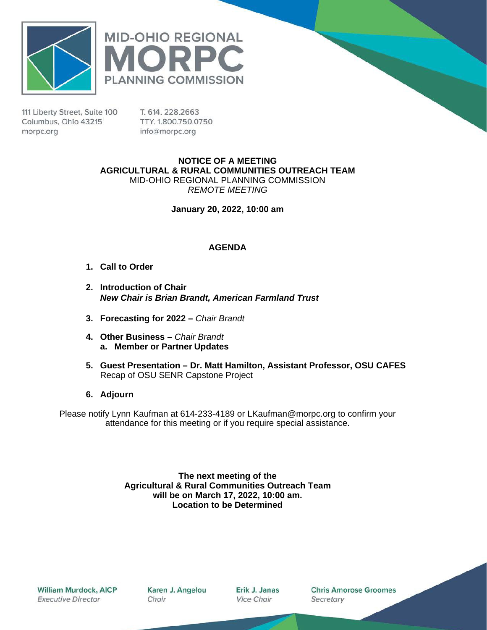



111 Liberty Street, Suite 100 Columbus, Ohio 43215 morpc.org

T. 614, 228, 2663 TTY. 1.800.750.0750 info@morpc.org

**NOTICE OF A MEETING AGRICULTURAL & RURAL COMMUNITIES OUTREACH TEAM** MID-OHIO REGIONAL PLANNING COMMISSION *REMOTE MEETING*

**January 20, 2022, 10:00 am**

#### **AGENDA**

- **1. Call to Order**
- **2. Introduction of Chair**  *New Chair is Brian Brandt, American Farmland Trust*
- **3. Forecasting for 2022 –** *Chair Brandt*
- **4. Other Business –** *Chair Brandt* **a. Member or Partner Updates**
- **5. Guest Presentation – Dr. Matt Hamilton, Assistant Professor, OSU CAFES** Recap of OSU SENR Capstone Project
- **6. Adjourn**

Please notify Lynn Kaufman at 614-233-4189 or [LKaufman@morpc.org](mailto:LKaufman@morpc.org) to confirm your attendance for this meeting or if you require special assistance.

> **The next meeting of the Agricultural & Rural Communities Outreach Team will be on March 17, 2022, 10:00 am. Location to be Determined**

William Murdock, AICP **Executive Director** 

Karen J. Angelou Chair

Erik J. Janas **Vice Chair** 

**Chris Amorose Groomes** Secretary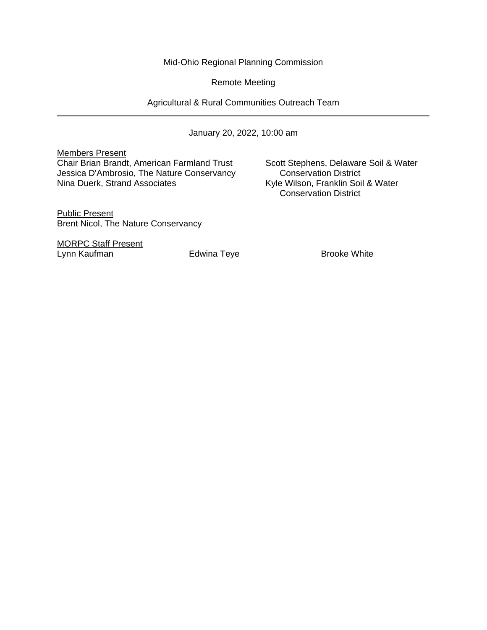Mid-Ohio Regional Planning Commission

Remote Meeting

Agricultural & Rural Communities Outreach Team

January 20, 2022, 10:00 am

Members Present

Chair Brian Brandt, American Farmland Trust Scott Stephens, Delaware Soil & Water<br>Jessica D'Ambrosio, The Nature Conservancy Conservation District Jessica D'Ambrosio, The Nature Conservancy Nina Duerk, Strand Associates Kyle Wilson, Franklin Soil & Water

Conservation District

Public Present Brent Nicol, The Nature Conservancy

MORPC Staff Present Lynn Kaufman **Edwina Teye** Brooke White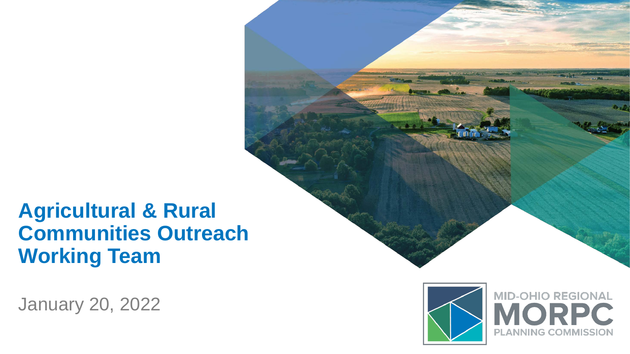## **Agricultural & Rural Communities Outreach Working Team**

January 20, 2022



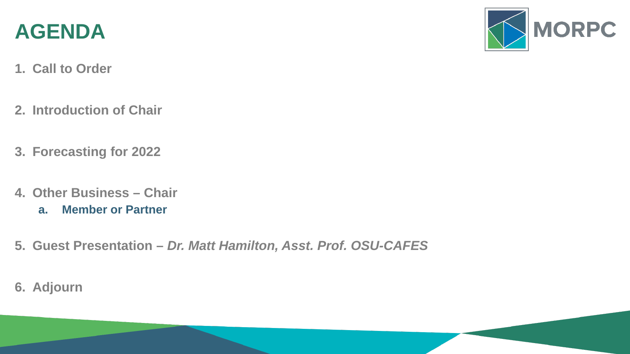

- **1. Call to Order**
- **2. Introduction of Chair**
- **3. Forecasting for 2022**
- **4. Other Business – Chair**
	- **a. Member or Partner**
- **5. Guest Presentation –** *Dr. Matt Hamilton, Asst. Prof. OSU-CAFES*
- **6. Adjourn**

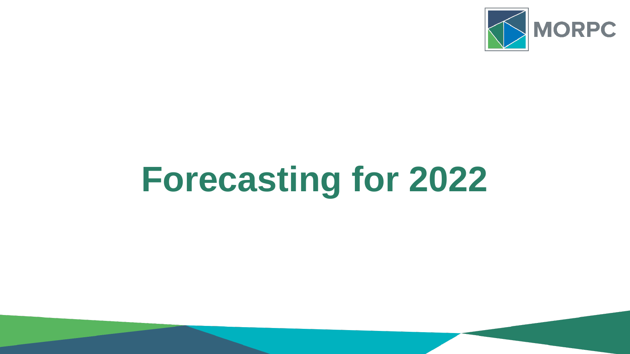

# **Forecasting for 2022**